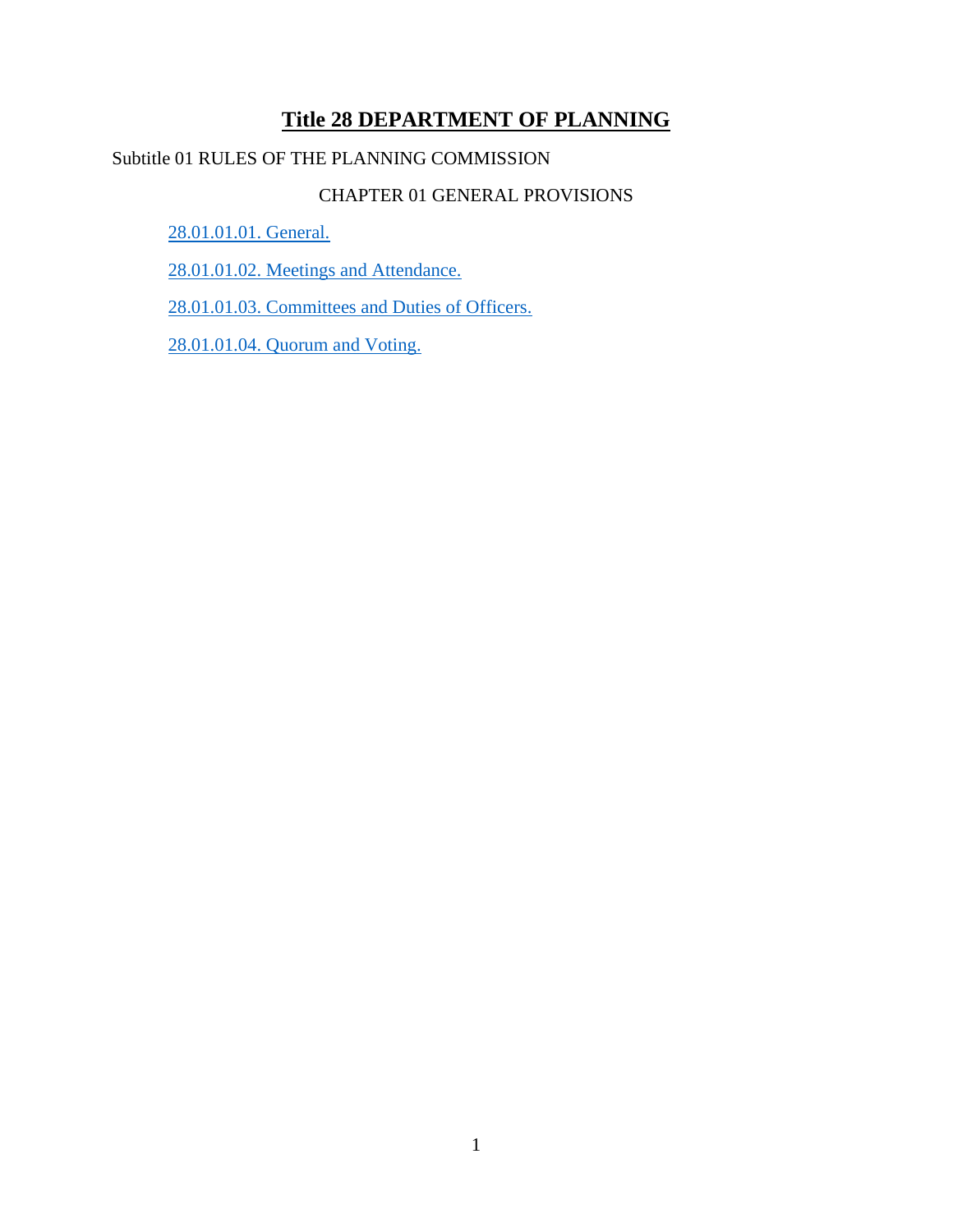# **Title 28 DEPARTMENT OF PLANNING**

# Subtitle 01 RULES OF THE PLANNING COMMISSION

## CHAPTER 01 GENERAL PROVISIONS

[28.01.01.01. General.](#page-1-0)

[28.01.01.02. Meetings and Attendance.](#page-2-0)

[28.01.01.03. Committees and Duties of Officers.](#page-6-0)

[28.01.01.04. Quorum and Voting.](#page-6-1)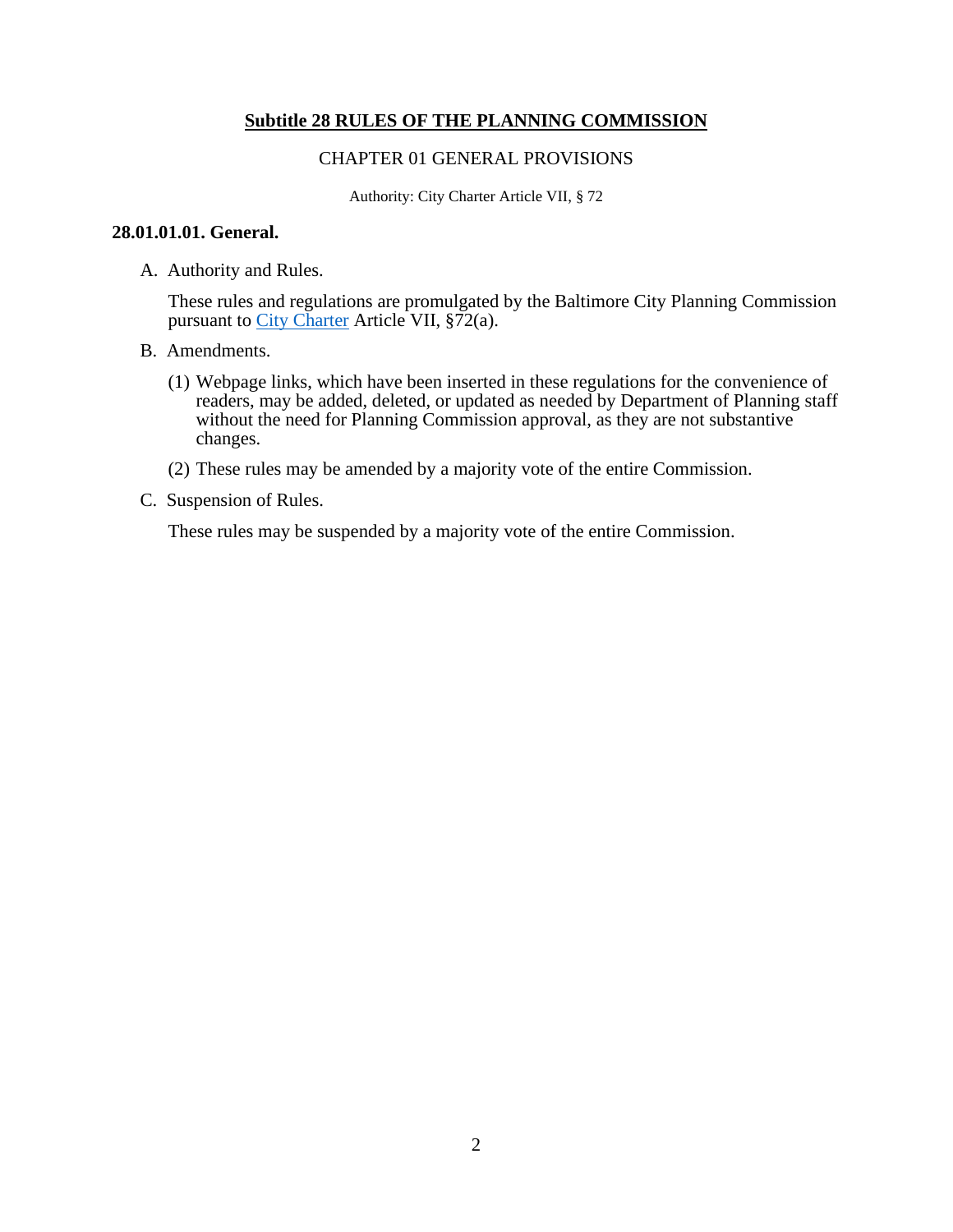### **Subtitle 28 RULES OF THE PLANNING COMMISSION**

#### CHAPTER 01 GENERAL PROVISIONS

Authority: City Charter Article VII, § 72

### <span id="page-1-0"></span>**28.01.01.01. General.**

A. Authority and Rules.

These rules and regulations are promulgated by the Baltimore City Planning Commission pursuant to [City Charter](https://legislativereference.baltimorecity.gov/sites/default/files/01%20-%20Charter_0.pdf) Article VII, §72(a).

- B. Amendments.
	- (1) Webpage links, which have been inserted in these regulations for the convenience of readers, may be added, deleted, or updated as needed by Department of Planning staff without the need for Planning Commission approval, as they are not substantive changes.
	- (2) These rules may be amended by a majority vote of the entire Commission.
- C. Suspension of Rules.

These rules may be suspended by a majority vote of the entire Commission.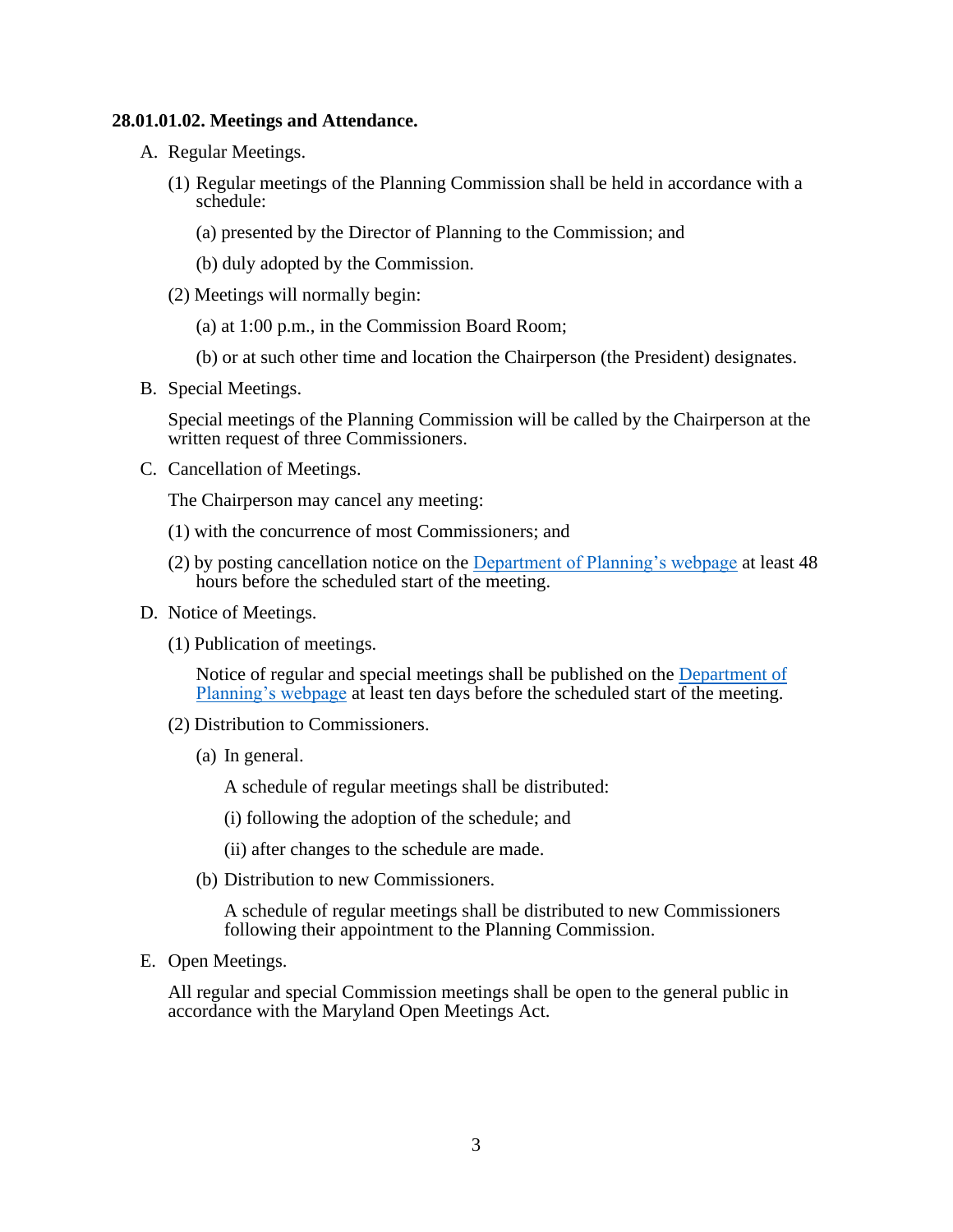### <span id="page-2-0"></span>**28.01.01.02. Meetings and Attendance.**

- A. Regular Meetings.
	- (1) Regular meetings of the Planning Commission shall be held in accordance with a schedule:
		- (a) presented by the Director of Planning to the Commission; and
		- (b) duly adopted by the Commission.
	- (2) Meetings will normally begin:
		- (a) at 1:00 p.m., in the Commission Board Room;
		- (b) or at such other time and location the Chairperson (the President) designates.
- B. Special Meetings.

Special meetings of the Planning Commission will be called by the Chairperson at the written request of three Commissioners.

C. Cancellation of Meetings.

The Chairperson may cancel any meeting:

- (1) with the concurrence of most Commissioners; and
- (2) by posting cancellation notice on the [Department of Planning's webpage](https://planning.baltimorecity.gov/planning-resources) at least 48 hours before the scheduled start of the meeting.
- D. Notice of Meetings.
	- (1) Publication of meetings.

Notice of regular and special meetings shall be published on the **Department** of [Planning's webpage](https://planning.baltimorecity.gov/) at least ten days before the scheduled start of the meeting.

- (2) Distribution to Commissioners.
	- (a) In general.

A schedule of regular meetings shall be distributed:

(i) following the adoption of the schedule; and

(ii) after changes to the schedule are made.

(b) Distribution to new Commissioners.

A schedule of regular meetings shall be distributed to new Commissioners following their appointment to the Planning Commission.

E. Open Meetings.

All regular and special Commission meetings shall be open to the general public in accordance with the Maryland Open Meetings Act.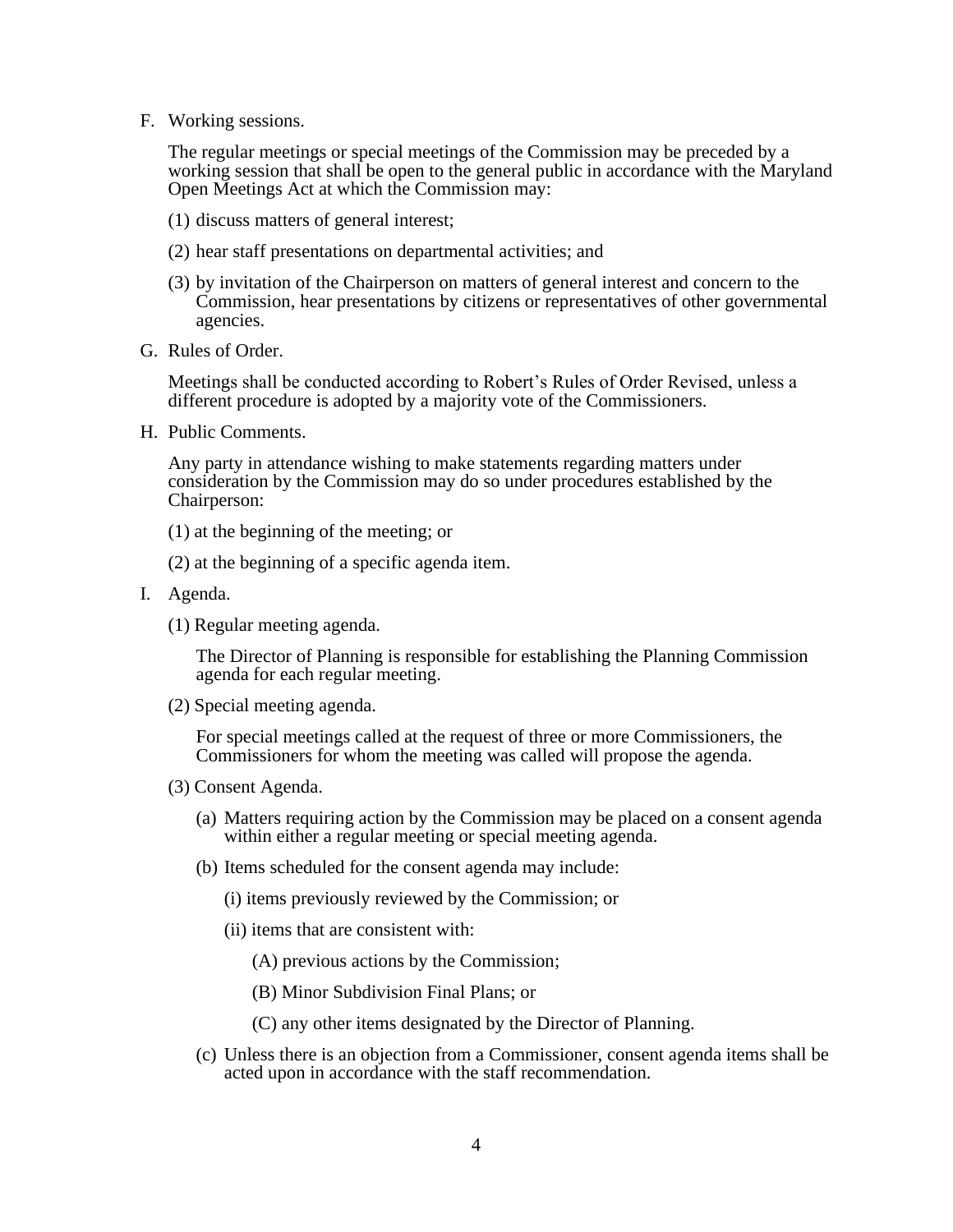F. Working sessions.

The regular meetings or special meetings of the Commission may be preceded by a working session that shall be open to the general public in accordance with the Maryland Open Meetings Act at which the Commission may:

- (1) discuss matters of general interest;
- (2) hear staff presentations on departmental activities; and
- (3) by invitation of the Chairperson on matters of general interest and concern to the Commission, hear presentations by citizens or representatives of other governmental agencies.
- G. Rules of Order.

Meetings shall be conducted according to Robert's Rules of Order Revised, unless a different procedure is adopted by a majority vote of the Commissioners.

H. Public Comments.

Any party in attendance wishing to make statements regarding matters under consideration by the Commission may do so under procedures established by the Chairperson:

(1) at the beginning of the meeting; or

(2) at the beginning of a specific agenda item.

- I. Agenda.
	- (1) Regular meeting agenda.

The Director of Planning is responsible for establishing the Planning Commission agenda for each regular meeting.

(2) Special meeting agenda.

For special meetings called at the request of three or more Commissioners, the Commissioners for whom the meeting was called will propose the agenda.

- (3) Consent Agenda.
	- (a) Matters requiring action by the Commission may be placed on a consent agenda within either a regular meeting or special meeting agenda.
	- (b) Items scheduled for the consent agenda may include:
		- (i) items previously reviewed by the Commission; or
		- (ii) items that are consistent with:
			- (A) previous actions by the Commission;
			- (B) Minor Subdivision Final Plans; or
			- (C) any other items designated by the Director of Planning.
	- (c) Unless there is an objection from a Commissioner, consent agenda items shall be acted upon in accordance with the staff recommendation.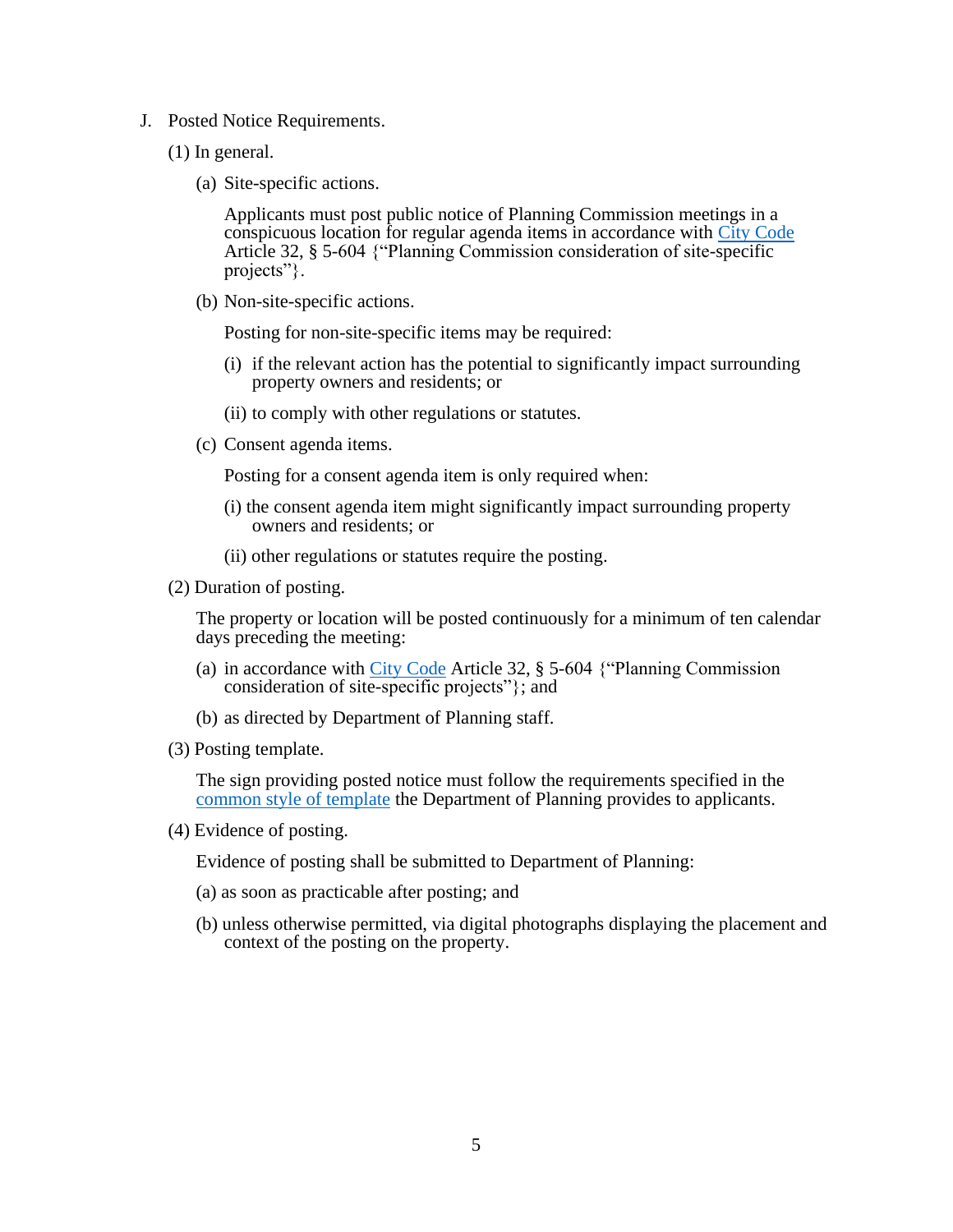- J. Posted Notice Requirements.
	- (1) In general.
		- (a) Site-specific actions.

Applicants must post public notice of Planning Commission meetings in a conspicuous location for regular agenda items in accordance with [City Code](https://legislativereference.baltimorecity.gov/sites/default/files/Art%2032%20-%20Zoning.pdf) Article 32, § 5-604 {"Planning Commission consideration of site-specific projects".

(b) Non-site-specific actions.

Posting for non-site-specific items may be required:

- (i) if the relevant action has the potential to significantly impact surrounding property owners and residents; or
- (ii) to comply with other regulations or statutes.
- (c) Consent agenda items.

Posting for a consent agenda item is only required when:

- (i) the consent agenda item might significantly impact surrounding property owners and residents; or
- (ii) other regulations or statutes require the posting.
- (2) Duration of posting.

The property or location will be posted continuously for a minimum of ten calendar days preceding the meeting:

- (a) in accordance with [City Code](https://legislativereference.baltimorecity.gov/sites/default/files/Art%2032%20-%20Zoning.pdf) Article 32, § 5-604 {"Planning Commission consideration of site-specific projects"}; and
- (b) as directed by Department of Planning staff.
- (3) Posting template.

The sign providing posted notice must follow the requirements specified in the [common style of template](https://pc.baltimorecity.gov/sites/default/files/Planning%20Commission%20Notice%20Sign%202018_Editable%20in%20Powerpoint.pptx) the Department of Planning provides to applicants.

(4) Evidence of posting.

Evidence of posting shall be submitted to Department of Planning:

- (a) as soon as practicable after posting; and
- (b) unless otherwise permitted, via digital photographs displaying the placement and context of the posting on the property.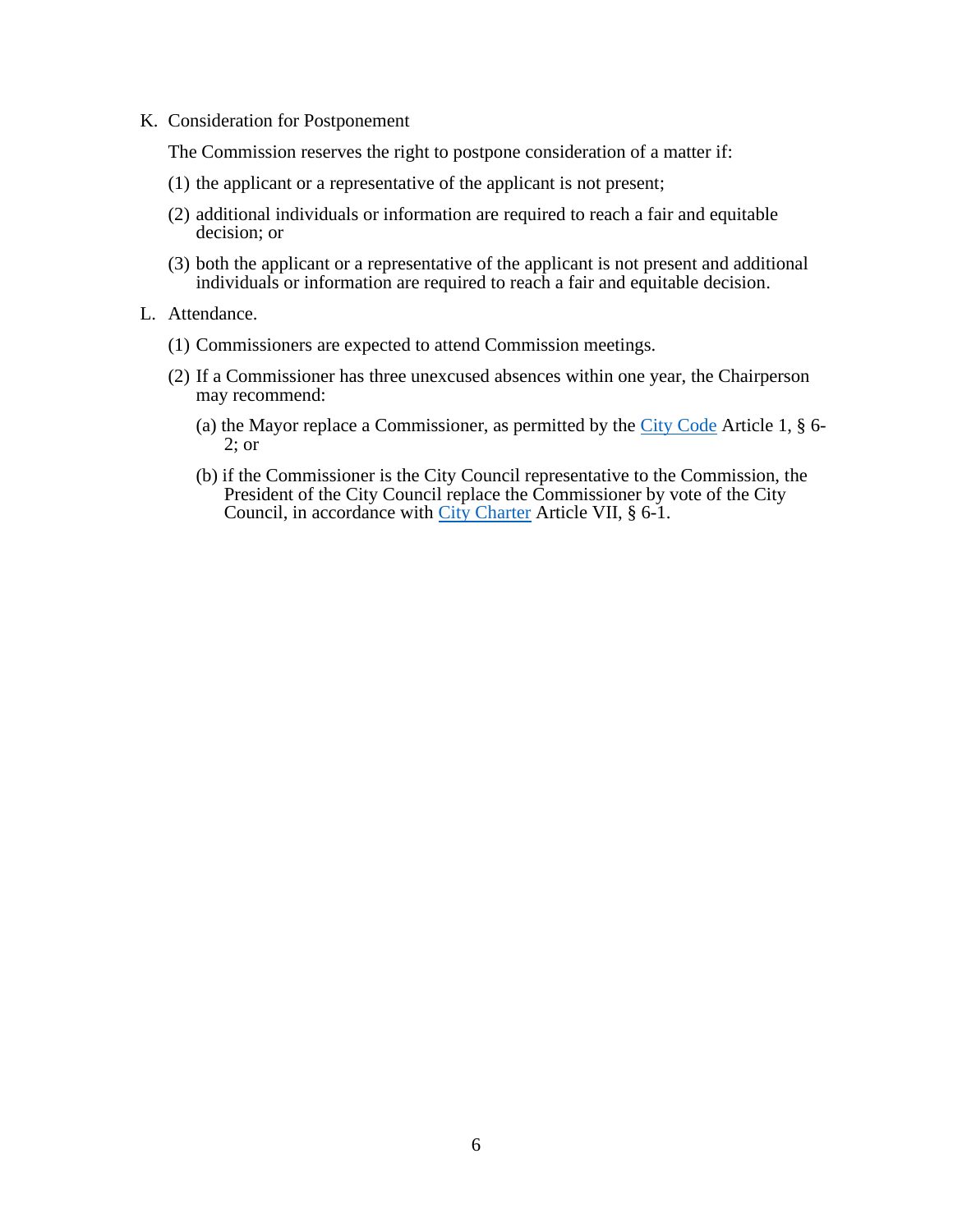K. Consideration for Postponement

The Commission reserves the right to postpone consideration of a matter if:

- (1) the applicant or a representative of the applicant is not present;
- (2) additional individuals or information are required to reach a fair and equitable decision; or
- (3) both the applicant or a representative of the applicant is not present and additional individuals or information are required to reach a fair and equitable decision.
- L. Attendance.
	- (1) Commissioners are expected to attend Commission meetings.
	- (2) If a Commissioner has three unexcused absences within one year, the Chairperson may recommend:
		- (a) the Mayor replace a Commissioner, as permitted by the [City Code](https://legislativereference.baltimorecity.gov/sites/default/files/Art%2001%20-%20MayorCouncil_0.pdf) Article 1, § 6- 2; or
		- (b) if the Commissioner is the City Council representative to the Commission, the President of the City Council replace the Commissioner by vote of the City Council, in accordance with [City Charter](https://legislativereference.baltimorecity.gov/sites/default/files/01%20-%20Charter_0.pdf) Article VII, § 6-1.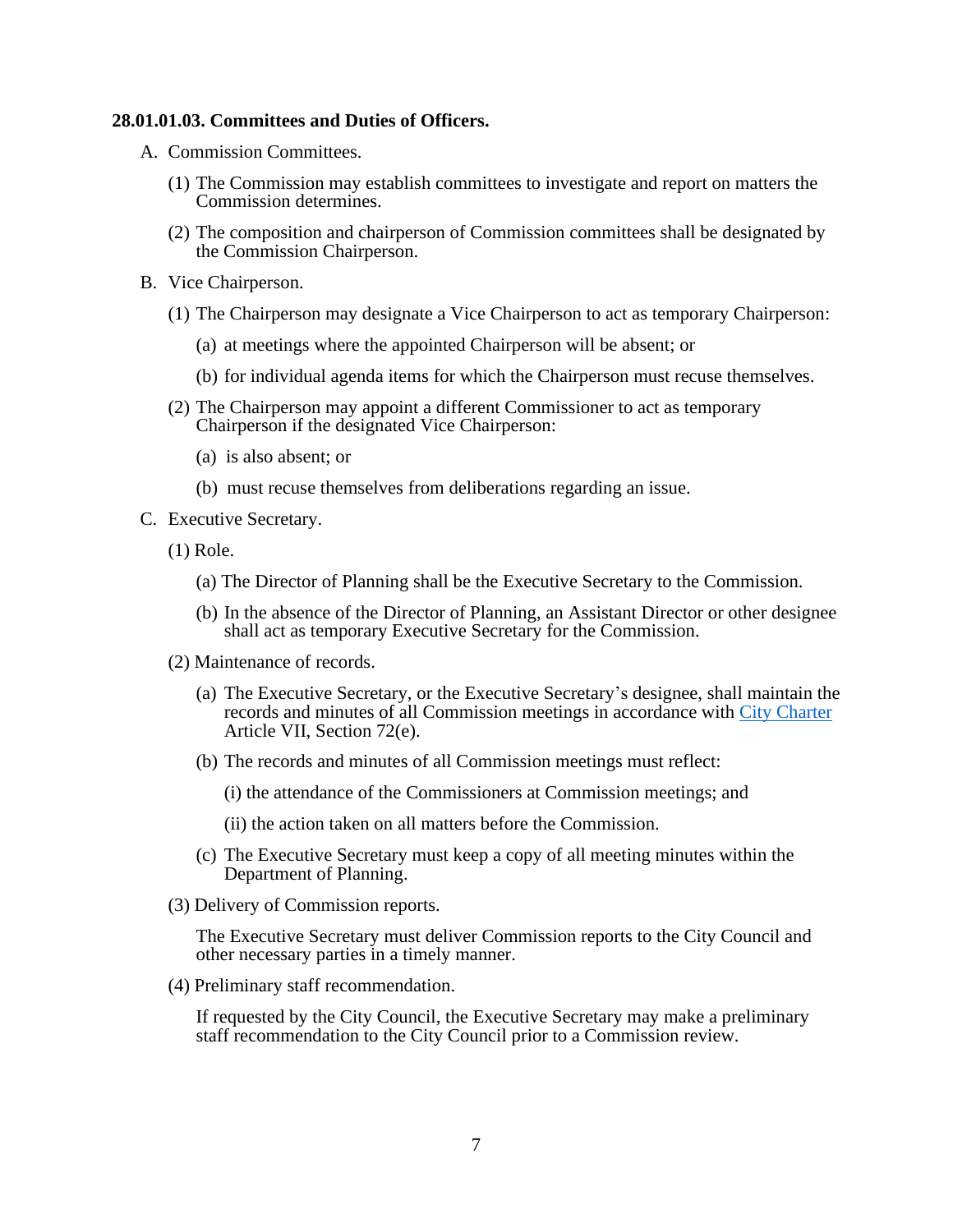#### <span id="page-6-0"></span>**28.01.01.03. Committees and Duties of Officers.**

- A. Commission Committees.
	- (1) The Commission may establish committees to investigate and report on matters the Commission determines.
	- (2) The composition and chairperson of Commission committees shall be designated by the Commission Chairperson.
- B. Vice Chairperson.
	- (1) The Chairperson may designate a Vice Chairperson to act as temporary Chairperson:
		- (a) at meetings where the appointed Chairperson will be absent; or
		- (b) for individual agenda items for which the Chairperson must recuse themselves.
	- (2) The Chairperson may appoint a different Commissioner to act as temporary Chairperson if the designated Vice Chairperson:
		- (a) is also absent; or
		- (b) must recuse themselves from deliberations regarding an issue.
- C. Executive Secretary.
	- (1) Role.
		- (a) The Director of Planning shall be the Executive Secretary to the Commission.
		- (b) In the absence of the Director of Planning, an Assistant Director or other designee shall act as temporary Executive Secretary for the Commission.
	- (2) Maintenance of records.
		- (a) The Executive Secretary, or the Executive Secretary's designee, shall maintain the records and minutes of all Commission meetings in accordance with [City Charter](https://legislativereference.baltimorecity.gov/sites/default/files/01%20-%20Charter_0.pdf) Article VII, Section 72(e).
		- (b) The records and minutes of all Commission meetings must reflect:

(i) the attendance of the Commissioners at Commission meetings; and

(ii) the action taken on all matters before the Commission.

- (c) The Executive Secretary must keep a copy of all meeting minutes within the Department of Planning.
- (3) Delivery of Commission reports.

The Executive Secretary must deliver Commission reports to the City Council and other necessary parties in a timely manner.

(4) Preliminary staff recommendation.

<span id="page-6-1"></span>If requested by the City Council, the Executive Secretary may make a preliminary staff recommendation to the City Council prior to a Commission review.